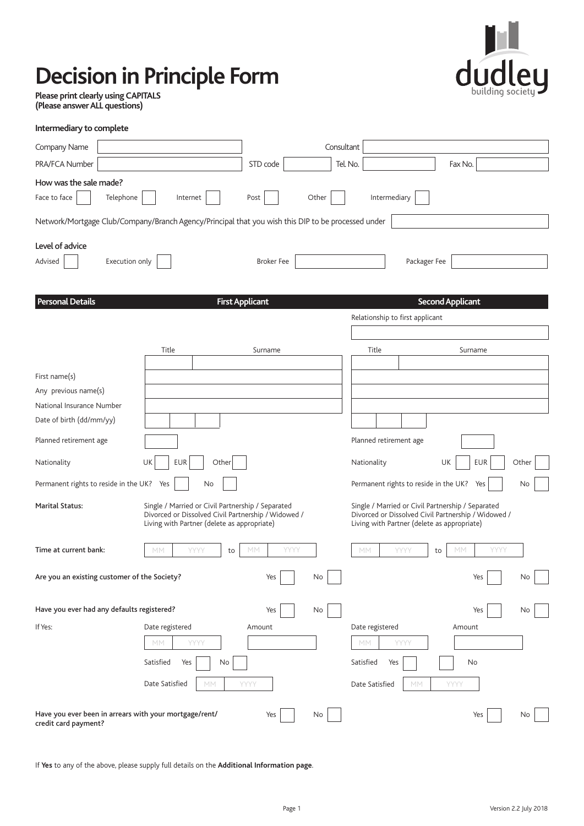# **Decision in Principle Form**



**Please print clearly using CAPITALS (Please answer ALL questions)** 

| Intermediary to complete                                                                           |                                                                                                                                                         |                        |            |                                 |                                                                                                                                                         |
|----------------------------------------------------------------------------------------------------|---------------------------------------------------------------------------------------------------------------------------------------------------------|------------------------|------------|---------------------------------|---------------------------------------------------------------------------------------------------------------------------------------------------------|
| Company Name                                                                                       |                                                                                                                                                         |                        | Consultant |                                 |                                                                                                                                                         |
| PRA/FCA Number                                                                                     |                                                                                                                                                         | STD code               |            | Tel. No.                        | Fax No.                                                                                                                                                 |
| How was the sale made?                                                                             |                                                                                                                                                         |                        |            |                                 |                                                                                                                                                         |
| Telephone<br>Face to face                                                                          | Internet                                                                                                                                                | Post                   | Other      | Intermediary                    |                                                                                                                                                         |
| Network/Mortgage Club/Company/Branch Agency/Principal that you wish this DIP to be processed under |                                                                                                                                                         |                        |            |                                 |                                                                                                                                                         |
| Level of advice                                                                                    |                                                                                                                                                         |                        |            |                                 |                                                                                                                                                         |
| Execution only<br>Advised                                                                          |                                                                                                                                                         | <b>Broker Fee</b>      |            |                                 | Packager Fee                                                                                                                                            |
|                                                                                                    |                                                                                                                                                         |                        |            |                                 |                                                                                                                                                         |
| <b>Personal Details</b>                                                                            |                                                                                                                                                         | <b>First Applicant</b> |            |                                 | <b>Second Applicant</b>                                                                                                                                 |
|                                                                                                    |                                                                                                                                                         |                        |            | Relationship to first applicant |                                                                                                                                                         |
|                                                                                                    | Title                                                                                                                                                   | Surname                |            | Title                           | Surname                                                                                                                                                 |
| First name(s)                                                                                      |                                                                                                                                                         |                        |            |                                 |                                                                                                                                                         |
| Any previous name(s)                                                                               |                                                                                                                                                         |                        |            |                                 |                                                                                                                                                         |
| National Insurance Number                                                                          |                                                                                                                                                         |                        |            |                                 |                                                                                                                                                         |
| Date of birth (dd/mm/yy)                                                                           |                                                                                                                                                         |                        |            |                                 |                                                                                                                                                         |
| Planned retirement age                                                                             |                                                                                                                                                         |                        |            | Planned retirement age          |                                                                                                                                                         |
| Nationality                                                                                        | UK<br><b>EUR</b><br>Other                                                                                                                               |                        |            | Nationality                     | UK<br>EUR<br>Other                                                                                                                                      |
| Permanent rights to reside in the UK? Yes                                                          | No                                                                                                                                                      |                        |            |                                 | Permanent rights to reside in the UK? Yes<br>No                                                                                                         |
| <b>Marital Status:</b>                                                                             | Single / Married or Civil Partnership / Separated<br>Divorced or Dissolved Civil Partnership / Widowed /<br>Living with Partner (delete as appropriate) |                        |            |                                 | Single / Married or Civil Partnership / Separated<br>Divorced or Dissolved Civil Partnership / Widowed /<br>Living with Partner (delete as appropriate) |
| Time at current bank:                                                                              | YYYY<br>MM<br>to                                                                                                                                        | YYYY<br>МM             |            | MM<br>YYYY                      | YYYY<br>МM<br>to                                                                                                                                        |
| Are you an existing customer of the Society?<br>Yes<br>No.                                         |                                                                                                                                                         |                        |            |                                 | Yes<br>No                                                                                                                                               |
| Have you ever had any defaults registered?                                                         |                                                                                                                                                         | Yes                    | No         |                                 | Yes<br>No.                                                                                                                                              |
| If Yes:                                                                                            | Date registered                                                                                                                                         | Amount                 |            | Date registered                 | Amount                                                                                                                                                  |
|                                                                                                    | YYYY<br>МM                                                                                                                                              |                        |            | МM<br>YYYY                      |                                                                                                                                                         |
|                                                                                                    | Satisfied<br>Yes<br>No                                                                                                                                  |                        |            | Satisfied<br>Yes                | No                                                                                                                                                      |
|                                                                                                    | Date Satisfied<br>MM                                                                                                                                    | YYYY                   |            | Date Satisfied                  | МM<br>YYYY                                                                                                                                              |
| Have you ever been in arrears with your mortgage/rent/<br>credit card payment?                     |                                                                                                                                                         | Yes                    | No         |                                 | Yes<br>No                                                                                                                                               |

If **Yes** to any of the above, please supply full details on the **Additional Information page**.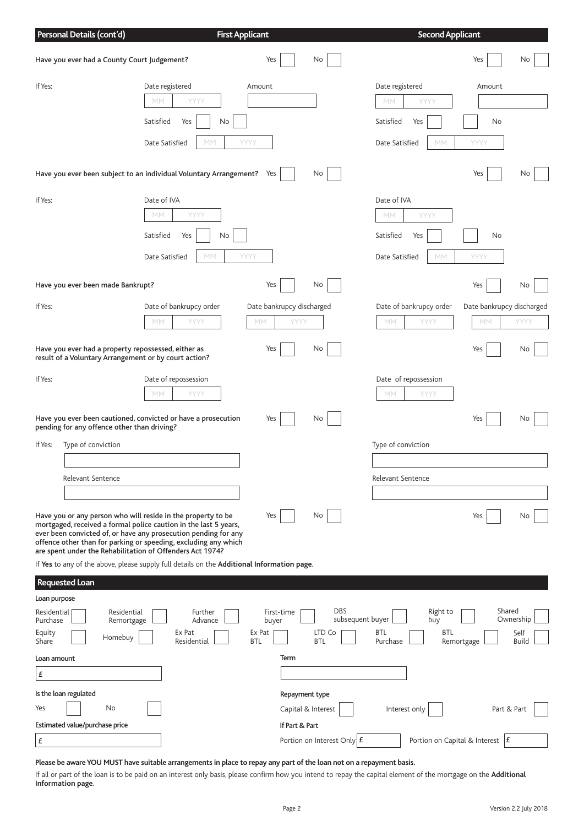|                                                            | Personal Details (cont'd)                                                                                    |                                                                                                                                                                                                                                                                                                                                     | <b>First Applicant</b>                      |                                                        | <b>Second Applicant</b>                                                   |                                     |                                   |
|------------------------------------------------------------|--------------------------------------------------------------------------------------------------------------|-------------------------------------------------------------------------------------------------------------------------------------------------------------------------------------------------------------------------------------------------------------------------------------------------------------------------------------|---------------------------------------------|--------------------------------------------------------|---------------------------------------------------------------------------|-------------------------------------|-----------------------------------|
|                                                            | Have you ever had a County Court Judgement?                                                                  |                                                                                                                                                                                                                                                                                                                                     | Yes                                         | No                                                     |                                                                           | Yes                                 | No                                |
| If Yes:                                                    |                                                                                                              | Date registered<br>YYYY<br>МM<br>Satisfied<br>Yes<br>No<br>Date Satisfied<br>МM                                                                                                                                                                                                                                                     | Amount<br>YYYY                              |                                                        | Date registered<br>YYYY<br>MМ<br>Satisfied<br>Yes<br>Date Satisfied<br>MM | Amount<br>No<br>YYYY                |                                   |
|                                                            |                                                                                                              | Have you ever been subject to an individual Voluntary Arrangement? Yes                                                                                                                                                                                                                                                              |                                             | No                                                     |                                                                           | Yes                                 | No                                |
| If Yes:                                                    |                                                                                                              | Date of IVA<br>YYYY<br>MМ<br>Satisfied<br>No<br>Yes<br>MM<br>Date Satisfied                                                                                                                                                                                                                                                         | YYYY                                        |                                                        | Date of IVA<br>YYYY<br>МM<br>Satisfied<br>Yes<br>Date Satisfied<br>MM     | No<br>YYYY                          |                                   |
|                                                            | Have you ever been made Bankrupt?                                                                            |                                                                                                                                                                                                                                                                                                                                     | Yes                                         | No                                                     |                                                                           | Yes                                 | No.                               |
| If Yes:                                                    |                                                                                                              | Date of bankrupcy order<br>YYYY<br>МM                                                                                                                                                                                                                                                                                               | Date bankrupcy discharged<br>YYYY<br>МM     |                                                        | Date of bankrupcy order<br>YYYY<br>МM                                     | Date bankrupcy discharged<br>МM     | YYYY                              |
|                                                            | Have you ever had a property repossessed, either as<br>result of a Voluntary Arrangement or by court action? |                                                                                                                                                                                                                                                                                                                                     | Yes                                         | No                                                     |                                                                           | Yes                                 | No.                               |
| If Yes:                                                    |                                                                                                              | Date of repossession<br>YYYY<br>МM                                                                                                                                                                                                                                                                                                  |                                             |                                                        | Date of repossession<br>YYYY<br>МM                                        |                                     |                                   |
|                                                            | pending for any offence other than driving?                                                                  | Have you ever been cautioned, convicted or have a prosecution                                                                                                                                                                                                                                                                       | Yes                                         | No                                                     |                                                                           | Yes                                 | No.                               |
| If Yes:                                                    | Type of conviction                                                                                           |                                                                                                                                                                                                                                                                                                                                     |                                             |                                                        | Type of conviction                                                        |                                     |                                   |
|                                                            | Relevant Sentence                                                                                            |                                                                                                                                                                                                                                                                                                                                     |                                             |                                                        | Relevant Sentence                                                         |                                     |                                   |
|                                                            |                                                                                                              | Have you or any person who will reside in the property to be<br>mortgaged, received a formal police caution in the last 5 years,<br>ever been convicted of, or have any prosecution pending for any<br>offence other than for parking or speeding, excluding any which<br>are spent under the Rehabilitation of Offenders Act 1974? | Yes                                         | No                                                     |                                                                           | Yes                                 | No.                               |
|                                                            |                                                                                                              | If Yes to any of the above, please supply full details on the Additional Information page.                                                                                                                                                                                                                                          |                                             |                                                        |                                                                           |                                     |                                   |
|                                                            | <b>Requested Loan</b>                                                                                        |                                                                                                                                                                                                                                                                                                                                     |                                             |                                                        |                                                                           |                                     |                                   |
| Loan purpose<br>Residential<br>Purchase<br>Equity<br>Share | Residential<br>Remortgage<br>Homebuy                                                                         | Further<br>Advance<br>Ex Pat<br>Residential                                                                                                                                                                                                                                                                                         | First-time<br>buyer<br>Ex Pat<br><b>BTL</b> | <b>DBS</b><br>subsequent buyer<br>LTD Co<br><b>BTL</b> | Right to<br>buy<br><b>BTL</b><br>BTL<br>Purchase                          | Shared<br>Remortgage                | Ownership<br>Self<br><b>Build</b> |
| Loan amount<br>£                                           |                                                                                                              |                                                                                                                                                                                                                                                                                                                                     | Term                                        |                                                        |                                                                           |                                     |                                   |
|                                                            | Is the loan regulated                                                                                        |                                                                                                                                                                                                                                                                                                                                     |                                             | Repayment type                                         |                                                                           |                                     |                                   |
| Yes                                                        | No                                                                                                           |                                                                                                                                                                                                                                                                                                                                     |                                             | Capital & Interest                                     | Interest only                                                             | Part & Part                         |                                   |
|                                                            | Estimated value/purchase price                                                                               |                                                                                                                                                                                                                                                                                                                                     | If Part & Part                              |                                                        |                                                                           |                                     |                                   |
| £                                                          |                                                                                                              |                                                                                                                                                                                                                                                                                                                                     |                                             | Portion on Interest Only $E$                           |                                                                           | Portion on Capital & Interest $ E $ |                                   |
|                                                            |                                                                                                              | Please be aware YOU MUST have suitable arrangements in place to repay any part of the loan not on a repayment basis.                                                                                                                                                                                                                |                                             |                                                        |                                                                           |                                     |                                   |

If all or part of the loan is to be paid on an interest only basis, please confirm how you intend to repay the capital element of the mortgage on the **Additional Information page**.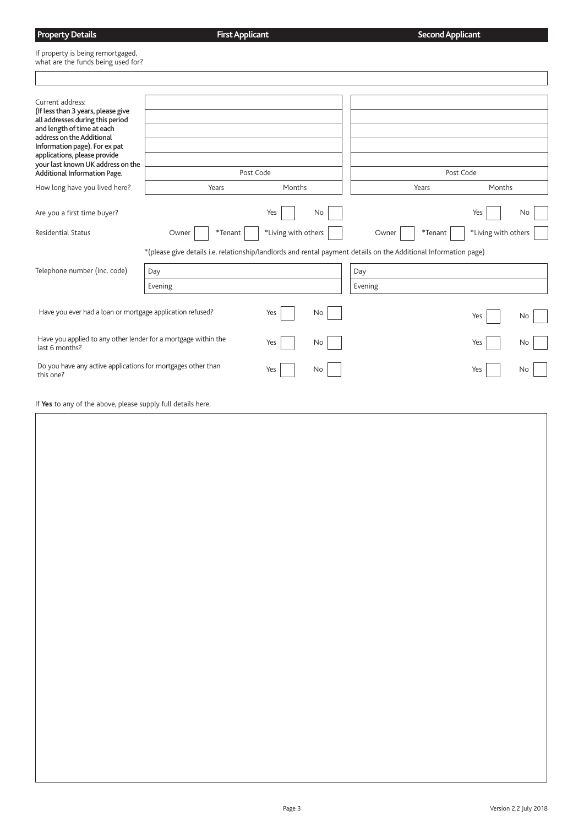| <b>Property Details</b>                                                 | <b>First Applicant</b> | <b>Second Applicant</b> |
|-------------------------------------------------------------------------|------------------------|-------------------------|
| If property is being remortgaged,<br>what are the funds being used for? |                        |                         |
|                                                                         |                        |                         |

**Property Details**

| Current address:<br>(If less than 3 years, please give<br>all addresses during this period<br>and length of time at each<br>address on the Additional<br>Information page). For ex pat<br>applications, please provide<br>your last known UK address on the<br>Additional Information Page. | Post Code                                                                                                                          |                     | Post Code        |                     |
|---------------------------------------------------------------------------------------------------------------------------------------------------------------------------------------------------------------------------------------------------------------------------------------------|------------------------------------------------------------------------------------------------------------------------------------|---------------------|------------------|---------------------|
| How long have you lived here?                                                                                                                                                                                                                                                               | Years                                                                                                                              | Months              | Years            | Months              |
| Are you a first time buyer?                                                                                                                                                                                                                                                                 |                                                                                                                                    | Yes<br>No           |                  | Yes<br>No           |
| <b>Residential Status</b>                                                                                                                                                                                                                                                                   | $*$ Tenant<br>Owner                                                                                                                | *Living with others | *Tenant<br>Owner | *Living with others |
| Telephone number (inc. code)                                                                                                                                                                                                                                                                | *(please give details i.e. relationship/landlords and rental payment details on the Additional Information page)<br>Day<br>Evening |                     | Day<br>Evening   |                     |
| Have you ever had a loan or mortgage application refused?                                                                                                                                                                                                                                   |                                                                                                                                    | Yes<br>No           |                  | Yes<br>No           |
| Have you applied to any other lender for a mortgage within the<br>last 6 months?                                                                                                                                                                                                            |                                                                                                                                    | Yes<br>No           |                  | Yes<br>No           |
| Do you have any active applications for mortgages other than<br>this one?                                                                                                                                                                                                                   |                                                                                                                                    | Yes<br>No           |                  | Yes<br>No           |
| If Yes to any of the above, please supply full details here.                                                                                                                                                                                                                                |                                                                                                                                    |                     |                  |                     |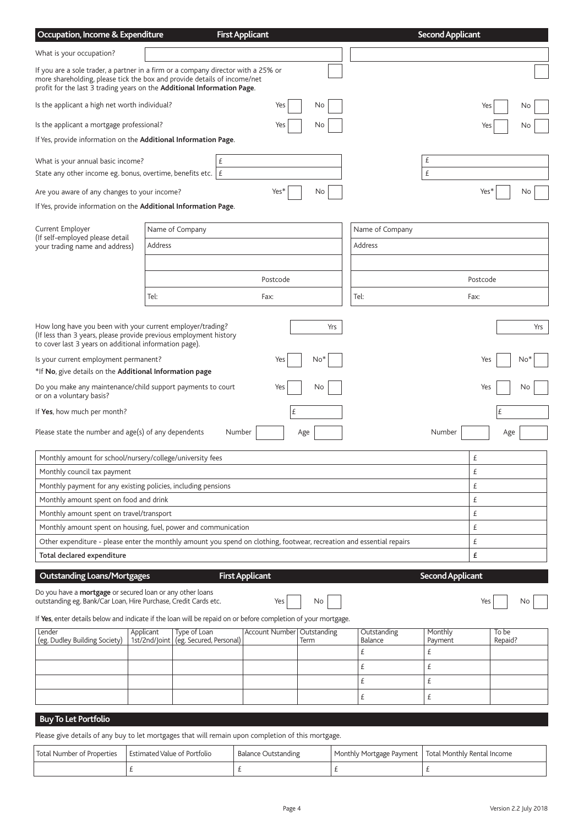| Occupation, Income & Expenditure                                                                                                                                                                                                         |                                          | <b>First Applicant</b> |             |                 | <b>Second Applicant</b> |         |
|------------------------------------------------------------------------------------------------------------------------------------------------------------------------------------------------------------------------------------------|------------------------------------------|------------------------|-------------|-----------------|-------------------------|---------|
| What is your occupation?                                                                                                                                                                                                                 |                                          |                        |             |                 |                         |         |
| If you are a sole trader, a partner in a firm or a company director with a 25% or<br>more shareholding, please tick the box and provide details of income/net<br>profit for the last 3 trading years on the Additional Information Page. |                                          |                        |             |                 |                         |         |
| Is the applicant a high net worth individual?                                                                                                                                                                                            |                                          | Yes                    | No          |                 | Yes                     | No      |
| Is the applicant a mortgage professional?                                                                                                                                                                                                |                                          | Yes                    | No          |                 | Yes                     | No      |
| If Yes, provide information on the Additional Information Page.                                                                                                                                                                          |                                          |                        |             |                 |                         |         |
| What is your annual basic income?                                                                                                                                                                                                        |                                          | £                      |             |                 | £                       |         |
| State any other income eg. bonus, overtime, benefits etc. $ E $                                                                                                                                                                          |                                          |                        |             |                 | £                       |         |
| Are you aware of any changes to your income?                                                                                                                                                                                             |                                          | Yes*                   | No          |                 | Yes*                    | No      |
| If Yes, provide information on the Additional Information Page.                                                                                                                                                                          |                                          |                        |             |                 |                         |         |
| Current Employer                                                                                                                                                                                                                         | Name of Company                          |                        |             | Name of Company |                         |         |
| (If self-employed please detail<br>your trading name and address)                                                                                                                                                                        | Address                                  |                        |             | Address         |                         |         |
|                                                                                                                                                                                                                                          |                                          |                        |             |                 |                         |         |
|                                                                                                                                                                                                                                          |                                          | Postcode               |             |                 | Postcode                |         |
|                                                                                                                                                                                                                                          | Tel:                                     | Fax:                   |             | Tel:            | Fax:                    |         |
|                                                                                                                                                                                                                                          |                                          |                        |             |                 |                         |         |
| How long have you been with your current employer/trading?<br>(If less than 3 years, please provide previous employment history<br>to cover last 3 years on additional information page).                                                |                                          |                        | Yrs         |                 |                         | Yrs     |
| Is your current employment permanent?<br>*If No, give details on the Additional Information page                                                                                                                                         |                                          | Yes                    | $No*$       |                 | Yes                     | NΩ      |
| Do you make any maintenance/child support payments to court<br>or on a voluntary basis?                                                                                                                                                  |                                          | Yes                    | No          |                 | Yes                     | No      |
| If Yes, how much per month?                                                                                                                                                                                                              |                                          | £                      |             |                 |                         | £       |
| Please state the number and age(s) of any dependents                                                                                                                                                                                     |                                          | Number                 | Age         |                 | Number                  | Age     |
| Monthly amount for school/nursery/college/university fees                                                                                                                                                                                |                                          |                        |             |                 | £                       |         |
| Monthly council tax payment                                                                                                                                                                                                              |                                          |                        |             |                 | £                       |         |
| Monthly payment for any existing policies, including pensions                                                                                                                                                                            |                                          |                        |             |                 | £                       |         |
| Monthly amount spent on food and drink                                                                                                                                                                                                   |                                          |                        |             |                 | £                       |         |
| Monthly amount spent on travel/transport                                                                                                                                                                                                 |                                          |                        |             |                 | £                       |         |
| Monthly amount spent on housing, fuel, power and communication                                                                                                                                                                           |                                          |                        |             |                 | £                       |         |
| Other expenditure - please enter the monthly amount you spend on clothing, footwear, recreation and essential repairs<br>Total declared expenditure                                                                                      |                                          |                        |             |                 | £<br>£                  |         |
| <b>Outstanding Loans/Mortgages</b>                                                                                                                                                                                                       |                                          | <b>First Applicant</b> |             |                 | <b>Second Applicant</b> |         |
| Do you have a <b>mortgage</b> or secured loan or any other loans                                                                                                                                                                         |                                          |                        |             |                 |                         |         |
| outstanding eg. Bank/Car Loan, Hire Purchase, Credit Cards etc.                                                                                                                                                                          |                                          | Yes                    | No          |                 | Yes                     | No      |
| If Yes, enter details below and indicate if the loan will be repaid on or before completion of your mortgage.<br>Lender                                                                                                                  | Type of Loan<br>Applicant                | Account Number         | Outstanding | Outstanding     | Monthly                 | To be   |
| (eg. Dudley Building Society)                                                                                                                                                                                                            | (eg. Secured, Personal)<br>1st/2nd/Joint |                        | Term        | Balance         | Payment                 | Repaid? |
|                                                                                                                                                                                                                                          |                                          |                        |             | £               | £                       |         |
|                                                                                                                                                                                                                                          |                                          |                        |             | £               | £                       |         |
|                                                                                                                                                                                                                                          |                                          |                        |             | £               | £                       |         |
|                                                                                                                                                                                                                                          |                                          |                        |             | £               | £                       |         |
| <b>Buy To Let Portfolio</b>                                                                                                                                                                                                              |                                          |                        |             |                 |                         |         |

Please give details of any buy to let mortgages that will remain upon completion of this mortgage.

| Total Number of Properties | Estimated Value of Portfolio | <b>Balance Outstanding</b> | ' Monthly Mortgage Payment   Total Monthly Rental Income |
|----------------------------|------------------------------|----------------------------|----------------------------------------------------------|
|                            |                              |                            |                                                          |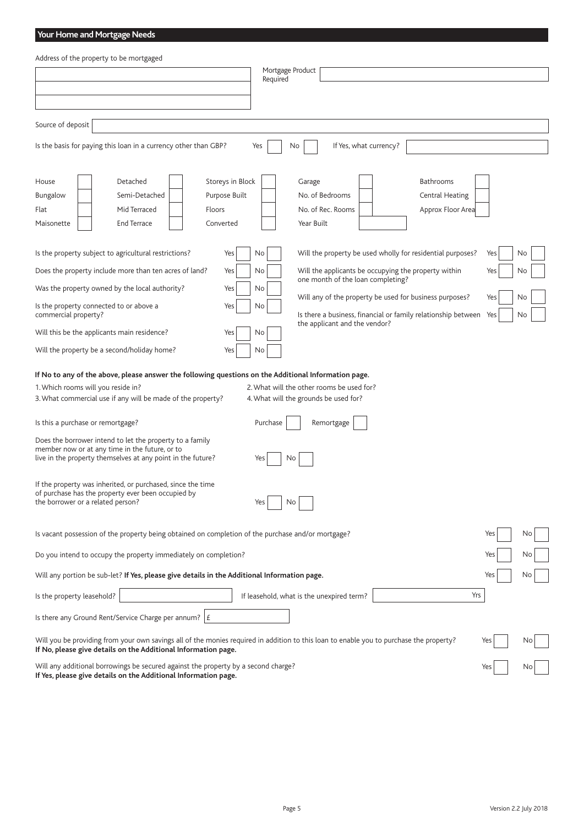# **Your Home and Mortgage Needs**

| Address of the property to be mortgaged                                                                                                                                                                                                                                              |            |
|--------------------------------------------------------------------------------------------------------------------------------------------------------------------------------------------------------------------------------------------------------------------------------------|------------|
| Mortgage Product<br>Required                                                                                                                                                                                                                                                         |            |
|                                                                                                                                                                                                                                                                                      |            |
|                                                                                                                                                                                                                                                                                      |            |
| Source of deposit                                                                                                                                                                                                                                                                    |            |
| If Yes, what currency?<br>Is the basis for paying this loan in a currency other than GBP?<br>No<br>Yes                                                                                                                                                                               |            |
| Detached<br>Storeys in Block<br>Bathrooms<br>House<br>Garage<br>Purpose Built<br>No. of Bedrooms<br>Bungalow<br>Semi-Detached<br><b>Central Heating</b><br>Approx Floor Area<br>Flat<br>Mid Terraced<br>Floors<br>No. of Rec. Rooms<br><b>End Terrace</b><br>Converted<br>Year Built |            |
| Maisonette                                                                                                                                                                                                                                                                           |            |
| Is the property subject to agricultural restrictions?<br>Will the property be used wholly for residential purposes?<br>No<br>Yes                                                                                                                                                     | Yes<br>No  |
| Does the property include more than ten acres of land?<br>Will the applicants be occupying the property within<br>Yes<br>No<br>one month of the loan completing?                                                                                                                     | Yes<br>No  |
| Was the property owned by the local authority?<br>Yes<br>No<br>Will any of the property be used for business purposes?                                                                                                                                                               | Yes<br>No  |
| Is the property connected to or above a<br>Yes<br>No<br>commercial property?<br>Is there a business, financial or family relationship between                                                                                                                                        | Yes<br>No  |
| the applicant and the vendor?<br>Will this be the applicants main residence?<br>No<br>Yes                                                                                                                                                                                            |            |
| Will the property be a second/holiday home?<br>Yes<br>No                                                                                                                                                                                                                             |            |
| If No to any of the above, please answer the following questions on the Additional Information page.                                                                                                                                                                                 |            |
| 2. What will the other rooms be used for?<br>1. Which rooms will you reside in?<br>3. What commercial use if any will be made of the property?<br>4. What will the grounds be used for?                                                                                              |            |
|                                                                                                                                                                                                                                                                                      |            |
| Is this a purchase or remortgage?<br>Purchase<br>Remortgage                                                                                                                                                                                                                          |            |
| Does the borrower intend to let the property to a family<br>member now or at any time in the future, or to<br>live in the property themselves at any point in the future?<br>No<br>Yes                                                                                               |            |
| If the property was inherited, or purchased, since the time<br>of purchase has the property ever been occupied by<br>the borrower or a related person?<br>Yes<br>No                                                                                                                  |            |
| Is vacant possession of the property being obtained on completion of the purchase and/or mortgage?                                                                                                                                                                                   | Yes<br>No. |
| Do you intend to occupy the property immediately on completion?                                                                                                                                                                                                                      | Yes<br>No  |
| Will any portion be sub-let? If Yes, please give details in the Additional Information page.                                                                                                                                                                                         | Yes<br>Νo  |
| Is the property leasehold?<br>If leasehold, what is the unexpired term?                                                                                                                                                                                                              | Yrs        |
| Is there any Ground Rent/Service Charge per annum? $ E $                                                                                                                                                                                                                             |            |
| Will you be providing from your own savings all of the monies required in addition to this loan to enable you to purchase the property?<br>If No, please give details on the Additional Information page.                                                                            | Yes<br>No. |
| Will any additional borrowings be secured against the property by a second charge?<br>If Yes, please give details on the Additional Information page.                                                                                                                                | Yes        |

Page 5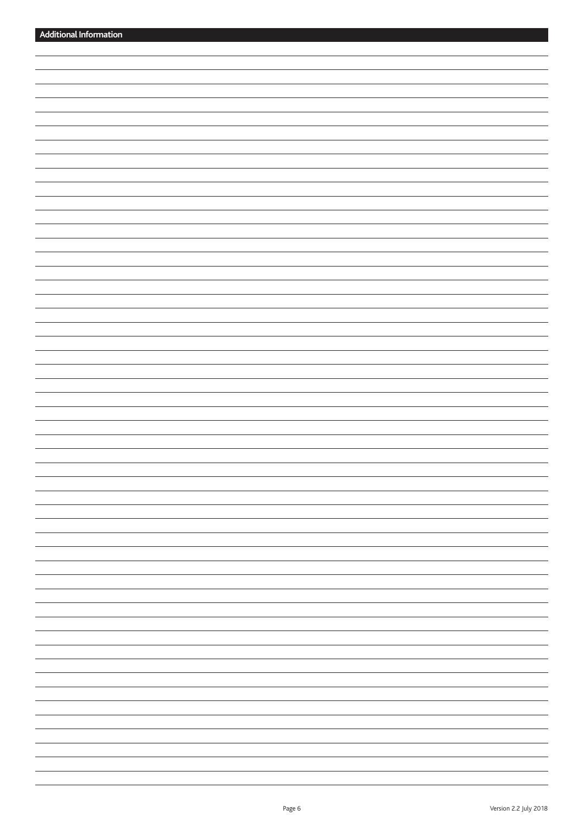| -                           |
|-----------------------------|
|                             |
|                             |
| $\overline{\phantom{0}}$    |
|                             |
|                             |
|                             |
| $\overline{\phantom{a}}$    |
| -                           |
|                             |
| $\overline{\phantom{a}}$    |
|                             |
| -                           |
|                             |
|                             |
| $\overline{\phantom{a}}$    |
|                             |
| $\overline{\phantom{0}}$    |
|                             |
| $\sim$ $\sim$ $\sim$ $\sim$ |
|                             |
| $\overbrace{\hspace{25mm}}$ |
|                             |
| $\overline{\phantom{0}}$    |
| $\overline{\phantom{0}}$    |
|                             |
| -                           |
|                             |
| $\overline{\phantom{0}}$    |
|                             |
|                             |
|                             |
| $\overline{\phantom{0}}$    |
|                             |
|                             |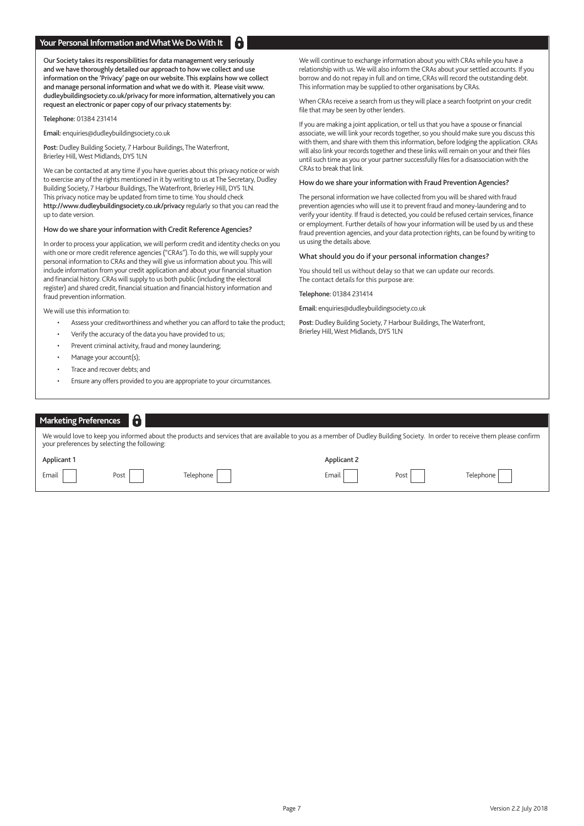## **Your Personal Information and What We Do With It**

Our Society takes its responsibilities for data management very seriously and we have thoroughly detailed our approach to how we collect and use information on the 'Privacy' page on our website. This explains how we collect and manage personal information and what we do with it. Please visit www. dudleybuildingsociety.co.uk/privacy for more information, alternatively you can request an electronic or paper copy of our privacy statements by:

Telephone: 01384 231414

Email: enquiries@dudleybuildingsociety.co.uk

Post: Dudley Building Society, 7 Harbour Buildings, The Waterfront, Brierley Hill, West Midlands, DY5 1LN

We can be contacted at any time if you have queries about this privacy notice or wish to exercise any of the rights mentioned in it by writing to us at The Secretary, Dudley Building Society, 7 Harbour Buildings, The Waterfront, Brierley Hill, DY5 1LN. This privacy notice may be updated from time to time. You should check http://www.dudleybuildingsociety.co.uk/privacy regularly so that you can read the up to date version.

## How do we share your information with Credit Reference Agencies?

In order to process your application, we will perform credit and identity checks on you with one or more credit reference agencies ("CRAs"). To do this, we will supply your personal information to CRAs and they will give us information about you. This will include information from your credit application and about your financial situation and financial history. CRAs will supply to us both public (including the electoral register) and shared credit, financial situation and financial history information and fraud prevention information.

We will use this information to:

- Assess your creditworthiness and whether you can afford to take the product;
- Verify the accuracy of the data you have provided to us;
- Prevent criminal activity, fraud and money laundering;
- Manage your account(s);
- Trace and recover debts; and
- Ensure any offers provided to you are appropriate to your circumstances.

We will continue to exchange information about you with CRAs while you have a relationship with us. We will also inform the CRAs about your settled accounts. If you borrow and do not repay in full and on time, CRAs will record the outstanding debt. This information may be supplied to other organisations by CRAs.

When CRAs receive a search from us they will place a search footprint on your credit file that may be seen by other lenders.

If you are making a joint application, or tell us that you have a spouse or financial associate, we will link your records together, so you should make sure you discuss this with them, and share with them this information, before lodging the application. CRAs will also link your records together and these links will remain on your and their files until such time as you or your partner successfully files for a disassociation with the CRAs to break that link.

### How do we share your information with Fraud Prevention Agencies?

The personal information we have collected from you will be shared with fraud prevention agencies who will use it to prevent fraud and money-laundering and to verify your identity. If fraud is detected, you could be refused certain services, finance or employment. Further details of how your information will be used by us and these fraud prevention agencies, and your data protection rights, can be found by writing to us using the details above.

### What should you do if your personal information changes?

You should tell us without delay so that we can update our records. The contact details for this purpose are:

Telephone: 01384 231414

Email: enquiries@dudleybuildingsociety.co.uk

Post: Dudley Building Society, 7 Harbour Buildings, The Waterfront, Brierley Hill, West Midlands, DY5 1LN

| Marketing Preferences                                                                                                                                                                                                        | 6    |           |             |      |           |  |  |
|------------------------------------------------------------------------------------------------------------------------------------------------------------------------------------------------------------------------------|------|-----------|-------------|------|-----------|--|--|
| We would love to keep you informed about the products and services that are available to you as a member of Dudley Building Society. In order to receive them please confirm<br>your preferences by selecting the following: |      |           |             |      |           |  |  |
| Applicant 1                                                                                                                                                                                                                  |      |           | Applicant 2 |      |           |  |  |
| Email                                                                                                                                                                                                                        | Post | Telephone | Email       | Post | Telephone |  |  |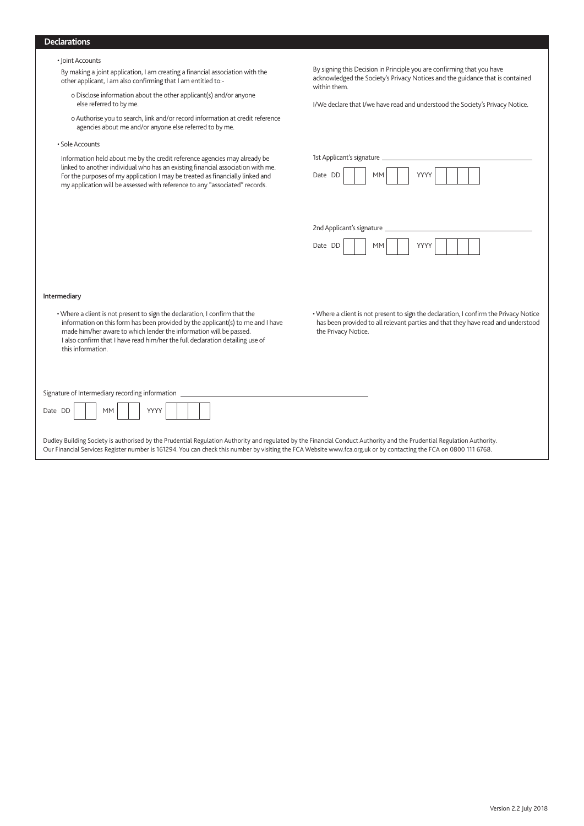## **Declarations**

|  |  | • Joint Accounts |  |
|--|--|------------------|--|
|--|--|------------------|--|

 By making a joint application, I am creating a financial association with the other applicant, I am also confirming that I am entitled to:-

- o Disclose information about the other applicant(s) and/or anyone else referred to by me.
- o Authorise you to search, link and/or record information at credit reference agencies about me and/or anyone else referred to by me.
- Sole Accounts

Intermediary

Information held about me by the credit reference agencies may already be linked to another individual who has an existing financial association with me. For the purposes of my application I may be treated as financially linked and my application will be assessed with reference to any "associated" records.

• Where a client is not present to sign the declaration, I confirm that the information on this form has been provided by the applicant(s) to me and I have made him/her aware to which lender the information will be passed. I also confirm that I have read him/her the full declaration detailing use of

By signing this Decision in Principle you are confirming that you have acknowledged the Society's Privacy Notices and the guidance that is contained within them.

I/We declare that I/we have read and understood the Society's Privacy Notice.

| Date DD                     | <b>MM</b> | YYYY |  |  |
|-----------------------------|-----------|------|--|--|
|                             |           |      |  |  |
|                             |           |      |  |  |
|                             |           |      |  |  |
| 2nd Applicant's signature _ |           |      |  |  |
| Date DD                     | <b>MM</b> | YYYY |  |  |
|                             |           |      |  |  |
|                             |           |      |  |  |
|                             |           |      |  |  |
|                             |           |      |  |  |

this information.

Signature of Intermediary recording information

| -<br><b>Data</b><br>. |  | <b>AAAA</b><br> | $\sim$ |  |  |  |  |  |
|-----------------------|--|-----------------|--------|--|--|--|--|--|
|-----------------------|--|-----------------|--------|--|--|--|--|--|

Dudley Building Society is authorised by the Prudential Regulation Authority and regulated by the Financial Conduct Authority and the Prudential Regulation Authority. Our Financial Services Register number is 161294. You can check this number by visiting the FCA Website www.fca.org.uk or by contacting the FCA on 0800 111 6768.